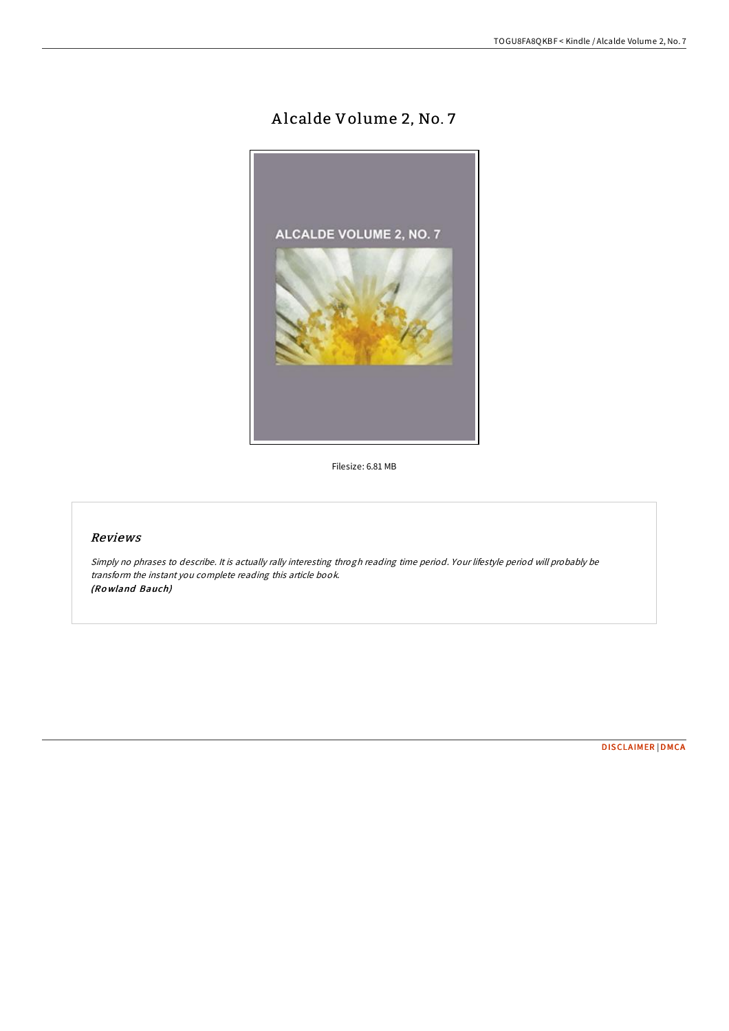## A lcalde Volume 2, No. 7



Filesize: 6.81 MB

## Reviews

Simply no phrases to describe. It is actually rally interesting throgh reading time period. Your lifestyle period will probably be transform the instant you complete reading this article book. (Ro wland Bauch)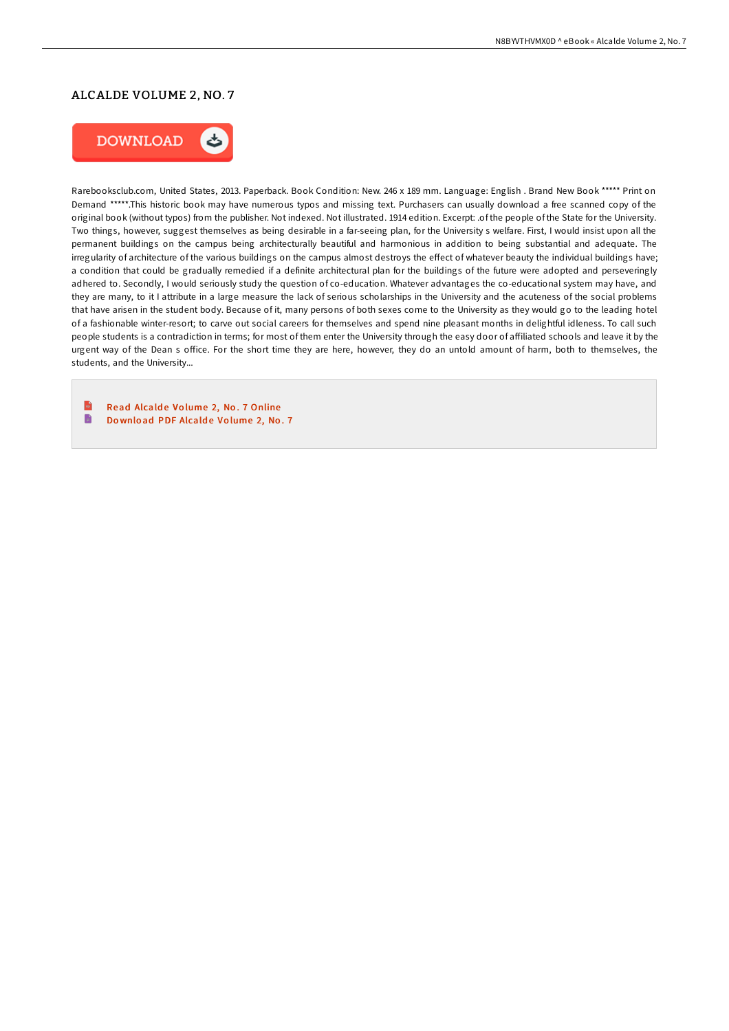## ALCALDE VOLUME 2, NO. 7



Rarebooksclub.com, United States, 2013. Paperback. Book Condition: New. 246 x 189 mm. Language: English . Brand New Book \*\*\*\*\* Print on Demand \*\*\*\*\*.This historic book may have numerous typos and missing text. Purchasers can usually download a free scanned copy of the original book (without typos) from the publisher. Not indexed. Not illustrated. 1914 edition. Excerpt: .of the people of the State for the University. Two things, however, suggest themselves as being desirable in a far-seeing plan, for the University s welfare. First, I would insist upon all the permanent buildings on the campus being architecturally beautiful and harmonious in addition to being substantial and adequate. The irregularity of architecture of the various buildings on the campus almost destroys the effect of whatever beauty the individual buildings have; a condition that could be gradually remedied if a definite architectural plan for the buildings of the future were adopted and perseveringly adhered to. Secondly, I would seriously study the question of co-education. Whatever advantages the co-educational system may have, and they are many, to it I attribute in a large measure the lack of serious scholarships in the University and the acuteness of the social problems that have arisen in the student body. Because of it, many persons of both sexes come to the University as they would go to the leading hotel of a fashionable winter-resort; to carve out social careers for themselves and spend nine pleasant months in delightful idleness. To call such people students is a contradiction in terms; for most of them enter the University through the easy door of affiliated schools and leave it by the urgent way of the Dean s office. For the short time they are here, however, they do an untold amount of harm, both to themselves, the students, and the University...

 $\mathbb{R}$ Read Alcalde Volume 2, No. 7 [Online](http://almighty24.tech/alcalde-volume-2-no-7-paperback.html)  $\qquad \qquad \blacksquare$ Do wnload PDF [Alcald](http://almighty24.tech/alcalde-volume-2-no-7-paperback.html)e Volume 2, No. 7